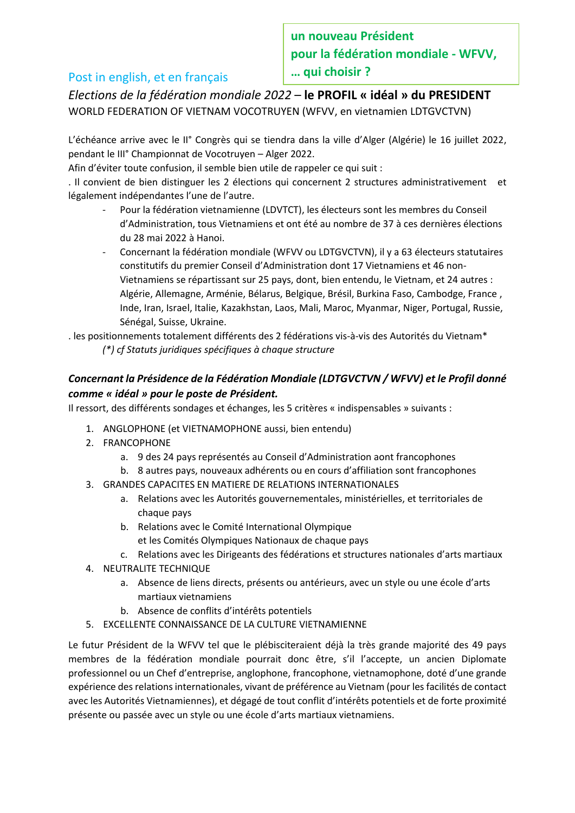# Post in english, et en français

**un nouveau Président pour la fédération mondiale - WFVV, … qui choisir ?**

*Elections de la fédération mondiale 2022* – **le PROFIL « idéal » du PRESIDENT** WORLD FEDERATION OF VIETNAM VOCOTRUYEN (WFVV, en vietnamien LDTGVCTVN)

L'échéance arrive avec le II° Congrès qui se tiendra dans la ville d'Alger (Algérie) le 16 juillet 2022, pendant le III° Championnat de Vocotruyen – Alger 2022.

Afin d'éviter toute confusion, il semble bien utile de rappeler ce qui suit :

. Il convient de bien distinguer les 2 élections qui concernent 2 structures administrativement et légalement indépendantes l'une de l'autre.

- Pour la fédération vietnamienne (LDVTCT), les électeurs sont les membres du Conseil d'Administration, tous Vietnamiens et ont été au nombre de 37 à ces dernières élections du 28 mai 2022 à Hanoi.
- Concernant la fédération mondiale (WFVV ou LDTGVCTVN), il y a 63 électeurs statutaires constitutifs du premier Conseil d'Administration dont 17 Vietnamiens et 46 non-Vietnamiens se répartissant sur 25 pays, dont, bien entendu, le Vietnam, et 24 autres : Algérie, Allemagne, Arménie, Bélarus, Belgique, Brésil, Burkina Faso, Cambodge, France , Inde, Iran, Israel, Italie, Kazakhstan, Laos, Mali, Maroc, Myanmar, Niger, Portugal, Russie, Sénégal, Suisse, Ukraine.

. les positionnements totalement différents des 2 fédérations vis-à-vis des Autorités du Vietnam\* *(\*) cf Statuts juridiques spécifiques à chaque structure*

# *Concernant la Présidence de la Fédération Mondiale (LDTGVCTVN / WFVV) et le Profil donné comme « idéal » pour le poste de Président.*

Il ressort, des différents sondages et échanges, les 5 critères « indispensables » suivants :

- 1. ANGLOPHONE (et VIETNAMOPHONE aussi, bien entendu)
- 2. FRANCOPHONE
	- a. 9 des 24 pays représentés au Conseil d'Administration aont francophones
	- b. 8 autres pays, nouveaux adhérents ou en cours d'affiliation sont francophones
- 3. GRANDES CAPACITES EN MATIERE DE RELATIONS INTERNATIONALES
	- a. Relations avec les Autorités gouvernementales, ministérielles, et territoriales de chaque pays
	- b. Relations avec le Comité International Olympique
		- et les Comités Olympiques Nationaux de chaque pays
	- c. Relations avec les Dirigeants des fédérations et structures nationales d'arts martiaux
- 4. NEUTRALITE TECHNIQUE
	- a. Absence de liens directs, présents ou antérieurs, avec un style ou une école d'arts martiaux vietnamiens
	- b. Absence de conflits d'intérêts potentiels
- 5. EXCELLENTE CONNAISSANCE DE LA CULTURE VIETNAMIENNE

Le futur Président de la WFVV tel que le plébisciteraient déjà la très grande majorité des 49 pays membres de la fédération mondiale pourrait donc être, s'il l'accepte, un ancien Diplomate professionnel ou un Chef d'entreprise, anglophone, francophone, vietnamophone, doté d'une grande expérience des relations internationales, vivant de préférence au Vietnam (pour les facilités de contact avec les Autorités Vietnamiennes), et dégagé de tout conflit d'intérêts potentiels et de forte proximité présente ou passée avec un style ou une école d'arts martiaux vietnamiens.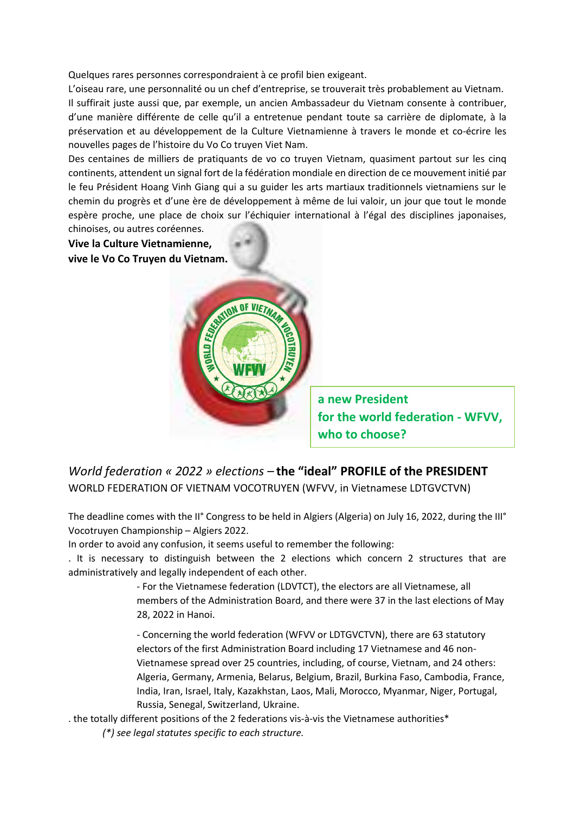Quelques rares personnes correspondraient à ce profil bien exigeant.

L'oiseau rare, une personnalité ou un chef d'entreprise, se trouverait très probablement au Vietnam. Il suffirait juste aussi que, par exemple, un ancien Ambassadeur du Vietnam consente à contribuer, d'une manière différente de celle qu'il a entretenue pendant toute sa carrière de diplomate, à la préservation et au développement de la Culture Vietnamienne à travers le monde et co-écrire les nouvelles pages de l'histoire du Vo Co truyen Viet Nam.

Des centaines de milliers de pratiquants de vo co truyen Vietnam, quasiment partout sur les cinq continents, attendent un signal fort de la fédération mondiale en direction de ce mouvement initié par le feu Président Hoang Vinh Giang qui a su guider les arts martiaux traditionnels vietnamiens sur le chemin du progrès et d'une ère de développement à même de lui valoir, un jour que tout le monde espère proche, une place de choix sur l'échiquier international à l'égal des disciplines japonaises, chinoises, ou autres coréennes.

**Vive la Culture Vietnamienne, vive le Vo Co Truyen du Vietnam.**



**a new President for the world federation - WFVV, who to choose?**

### *World federation « 2022 » elections –* **the "ideal" PROFILE of the PRESIDENT** WORLD FEDERATION OF VIETNAM VOCOTRUYEN (WFVV, in Vietnamese LDTGVCTVN)

The deadline comes with the II° Congress to be held in Algiers (Algeria) on July 16, 2022, during the III° Vocotruyen Championship – Algiers 2022.

In order to avoid any confusion, it seems useful to remember the following:

. It is necessary to distinguish between the 2 elections which concern 2 structures that are administratively and legally independent of each other.

> - For the Vietnamese federation (LDVTCT), the electors are all Vietnamese, all members of the Administration Board, and there were 37 in the last elections of May 28, 2022 in Hanoi.

> - Concerning the world federation (WFVV or LDTGVCTVN), there are 63 statutory electors of the first Administration Board including 17 Vietnamese and 46 non-Vietnamese spread over 25 countries, including, of course, Vietnam, and 24 others: Algeria, Germany, Armenia, Belarus, Belgium, Brazil, Burkina Faso, Cambodia, France, India, Iran, Israel, Italy, Kazakhstan, Laos, Mali, Morocco, Myanmar, Niger, Portugal, Russia, Senegal, Switzerland, Ukraine.

. the totally different positions of the 2 federations vis-à-vis the Vietnamese authorities\* *(\*) see legal statutes specific to each structure.*